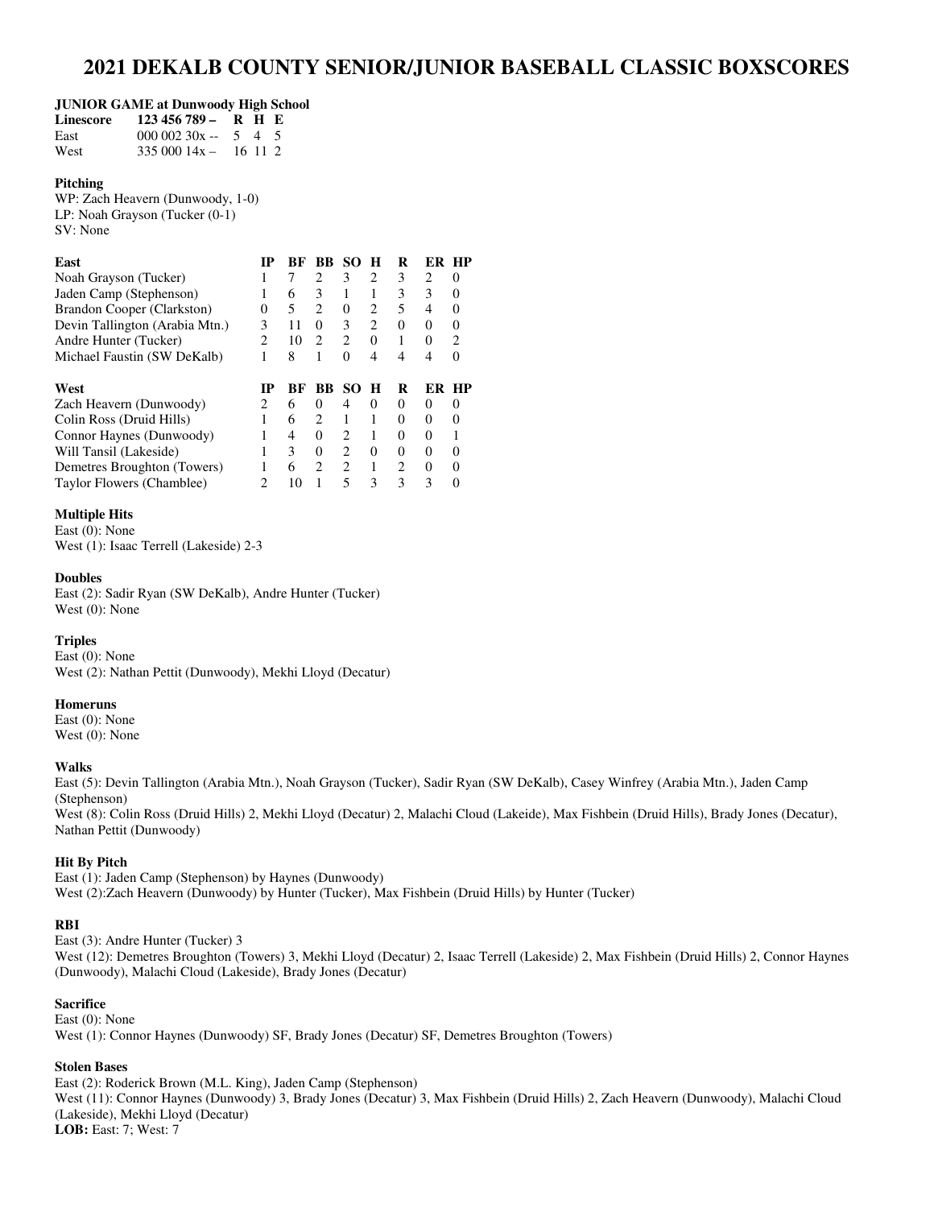# **2021 DEKALB COUNTY SENIOR/JUNIOR BASEBALL CLASSIC BOXSCORES**

#### **JUNIOR GAME at Dunwoody High School**

| Linescore | $123\,456\,789 - R$ H E     |  |  |
|-----------|-----------------------------|--|--|
| East      | $00000230x - 545$           |  |  |
| West      | $335\,000\,14x - 16\,11\,2$ |  |  |

#### **Pitching**

WP: Zach Heavern (Dunwoody, 1-0) LP: Noah Grayson (Tucker (0-1) SV: None

#### **East 1D BF BB SO H R ER HP**

| PASE                           |          |    | - 11 - 1111 - 111 - 11      |          |               | $\mathbf{r}$ | <b>BR</b> 111 |          |
|--------------------------------|----------|----|-----------------------------|----------|---------------|--------------|---------------|----------|
| Noah Grayson (Tucker)          |          |    |                             | 3        | $2^{1}$       | 3            |               |          |
| Jaden Camp (Stephenson)        |          | 6  |                             |          |               | 3            |               |          |
| Brandon Cooper (Clarkston)     | $\theta$ |    | $\mathcal{D}_{\mathcal{L}}$ | $\Omega$ | $2^{1}$       | 5            |               | $\Omega$ |
| Devin Tallington (Arabia Mtn.) |          |    |                             | 3        | $\mathcal{L}$ | $\theta$     |               | $\theta$ |
| Andre Hunter (Tucker)          |          | 10 |                             |          | $\theta$      |              | $^{\circ}$    |          |
| Michael Faustin (SW DeKalb)    |          | 8  |                             | 0        | 4             | 4            |               |          |
| West                           |          | RЕ |                             | BB SO    | - H           | R            |               | ER HP    |

| 11 C.IL                     |    | DI DD 90 H |          | $\mathbf{r}$ | - 1918 - 111 |  |
|-----------------------------|----|------------|----------|--------------|--------------|--|
| Zach Heavern (Dunwoody)     |    |            |          |              |              |  |
| Colin Ross (Druid Hills)    |    |            |          |              |              |  |
| Connor Haynes (Dunwoody)    |    |            |          |              |              |  |
| Will Tansil (Lakeside)      |    |            | $\theta$ |              |              |  |
| Demetres Broughton (Towers) | 6. |            |          |              |              |  |
| Taylor Flowers (Chamblee)   |    |            | 3        |              |              |  |
|                             |    |            |          |              |              |  |

# **Multiple Hits**

East (0): None West (1): Isaac Terrell (Lakeside) 2-3

# **Doubles**

East (2): Sadir Ryan (SW DeKalb), Andre Hunter (Tucker) West (0): None

# **Triples**

East (0): None West (2): Nathan Pettit (Dunwoody), Mekhi Lloyd (Decatur)

# **Homeruns**

East (0): None West (0): None

# **Walks**

East (5): Devin Tallington (Arabia Mtn.), Noah Grayson (Tucker), Sadir Ryan (SW DeKalb), Casey Winfrey (Arabia Mtn.), Jaden Camp (Stephenson)

West (8): Colin Ross (Druid Hills) 2, Mekhi Lloyd (Decatur) 2, Malachi Cloud (Lakeide), Max Fishbein (Druid Hills), Brady Jones (Decatur), Nathan Pettit (Dunwoody)

# **Hit By Pitch**

East (1): Jaden Camp (Stephenson) by Haynes (Dunwoody) West (2):Zach Heavern (Dunwoody) by Hunter (Tucker), Max Fishbein (Druid Hills) by Hunter (Tucker)

# **RBI**

East (3): Andre Hunter (Tucker) 3

West (12): Demetres Broughton (Towers) 3, Mekhi Lloyd (Decatur) 2, Isaac Terrell (Lakeside) 2, Max Fishbein (Druid Hills) 2, Connor Haynes (Dunwoody), Malachi Cloud (Lakeside), Brady Jones (Decatur)

# **Sacrifice**

East (0): None West (1): Connor Haynes (Dunwoody) SF, Brady Jones (Decatur) SF, Demetres Broughton (Towers)

# **Stolen Bases**

East (2): Roderick Brown (M.L. King), Jaden Camp (Stephenson) West (11): Connor Haynes (Dunwoody) 3, Brady Jones (Decatur) 3, Max Fishbein (Druid Hills) 2, Zach Heavern (Dunwoody), Malachi Cloud (Lakeside), Mekhi Lloyd (Decatur) **LOB:** East: 7; West: 7